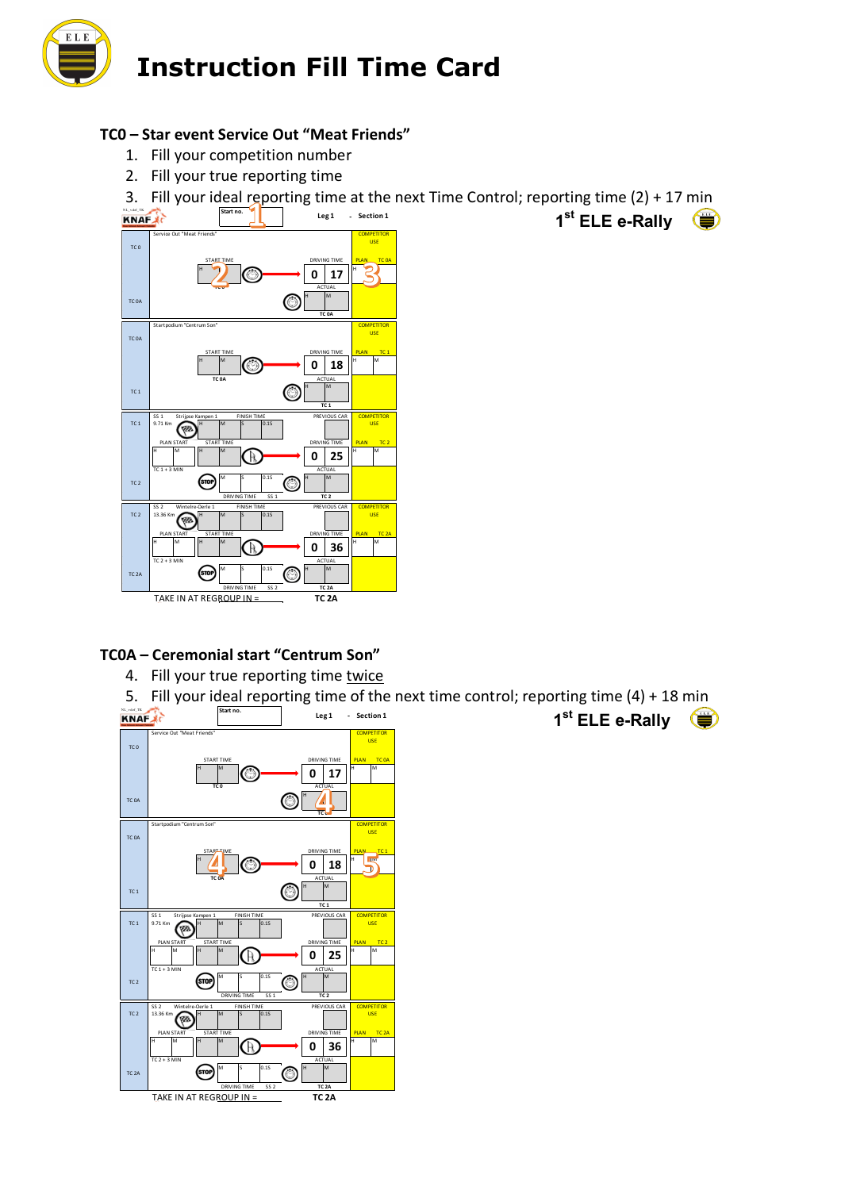

### **TC0 – Star event Service Out "Meat Friends"**

- 1. Fill your competition number
- 2. Fill your true reporting time

3. Fill your ideal reporting time at the next Time Control; reporting time (2) + 17 min



### **TC0A – Ceremonial start "Centrum Son"**

- 4. Fill your true reporting time twice
- 5. Fill your ideal reporting time of the next time control; reporting time (4) + 18 min



**Start 1 Section** 1<sup>st</sup> ELE e-Rally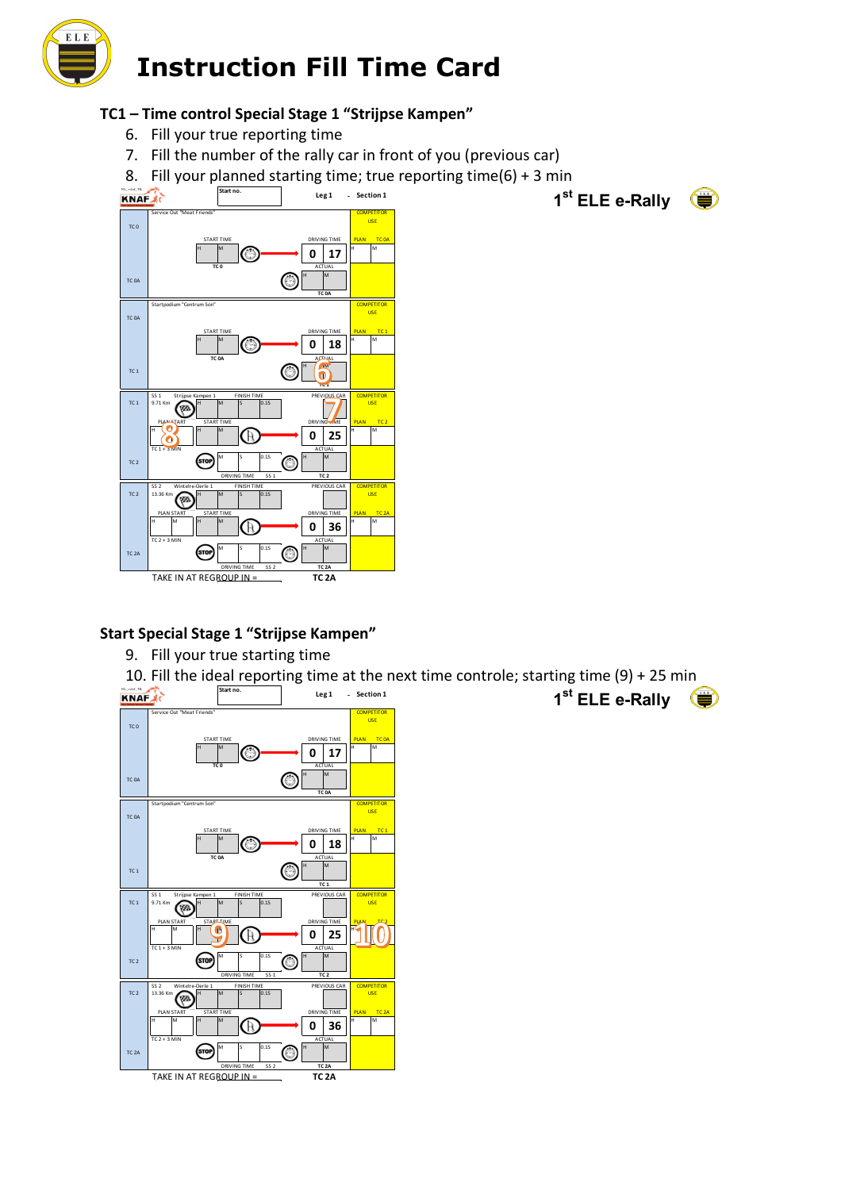

# **TC1 – Time control Special Stage 1 "Strijpse Kampen"**

- 6. Fill your true reporting time
- 7. Fill the number of the rally car in front of you (previous car)
- 8. Fill your planned starting time; true reporting time(6) + 3 min



### **Start Special Stage 1 "Strijpse Kampen"**

9. Fill your true starting time

10. Fill the ideal reporting time at the next time controle; starting time (9) + 25 min



**Start 1 Section** 1<sup>st</sup> ELE e-Rally